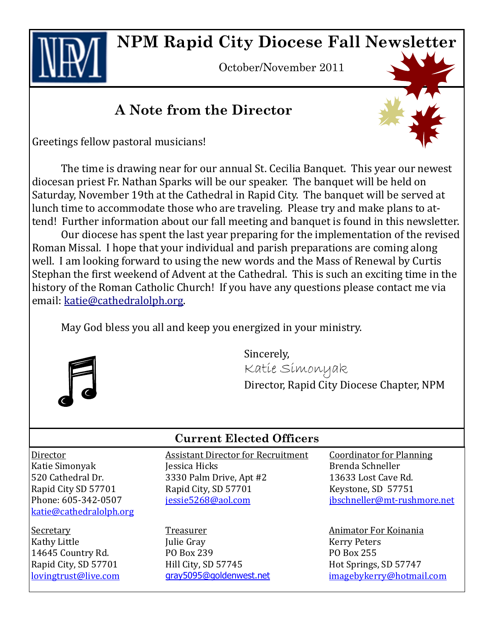**NPM Rapid City Diocese Fall Newsletter**

October/November 2011

### **A Note from the Director**

Greetings fellow pastoral musicians!

The time is drawing near for our annual St. Cecilia Banquet. This year our newest diocesan priest Fr. Nathan Sparks will be our speaker. The banquet will be held on Saturday, November 19th at the Cathedral in Rapid City. The banquet will be served at lunch time to accommodate those who are traveling. Please try and make plans to attend! Further information about our fall meeting and banquet is found in this newsletter.

Our diocese has spent the last year preparing for the implementation of the revised Roman Missal. I hope that your individual and parish preparations are coming along well. I am looking forward to using the new words and the Mass of Renewal by Curtis Stephan the first weekend of Advent at the Cathedral. This is such an exciting time in the history of the Roman Catholic Church! If you have any questions please contact me via email: [katie@cathedralolph.org.](mailto:katie@cathedralolph.org)

May God bless you all and keep you energized in your ministry.



Sincerely, Katie Simonyak Director, Rapid City Diocese Chapter, NPM

Director Katie Simonyak 520 Cathedral Dr. Rapid City SD 57701 Phone: 605-342-0507 [katie@cathedralolph.org](mailto:katie@cathedralolph.org)

Secretary Kathy Little 14645 Country Rd. Rapid City, SD 57701 [lovingtrust@live.com](mailto:lovingtrust@live.com)

#### **Current Elected Officers**

Assistant Director for Recruitment Jessica Hicks 3330 Palm Drive, Apt #2 Rapid City, SD 57701 j[essie5268@aol.com](mailto:Jessie5268@aol.com)

Treasurer Julie Gray PO Box 239 Hill City, SD 57745 [gray5095@goldenwest.net](mailto:gray5095@goldenwest.net) Coordinator for Planning Brenda Schneller 13633 Lost Cave Rd. Keystone, SD 57751 [jbschneller@mt-rushmore.net](mailto:jbschneller@mt-rushmore.net)

Animator For Koinania Kerry Peters PO Box 255 Hot Springs, SD 57747 [imagebykerry@hotmail.com](mailto:imagebykerry@hotmail.com)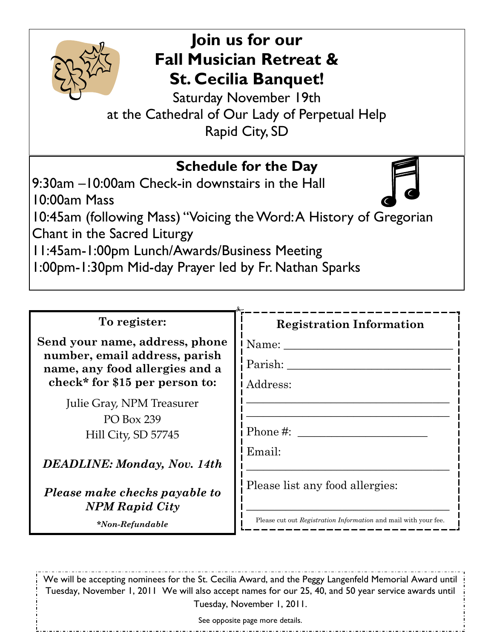

# **Join us for our Fall Musician Retreat & St. Cecilia Banquet!**

Saturday November 19th at the Cathedral of Our Lady of Perpetual Help Rapid City, SD

| To register:                                                                                                                        |                                                                 |
|-------------------------------------------------------------------------------------------------------------------------------------|-----------------------------------------------------------------|
| Send your name, address, phone<br>number, email address, parish<br>name, any food allergies and a<br>check* for \$15 per person to: | <b>Registration Information</b><br>Name:<br>Parish:<br>Address: |
| Julie Gray, NPM Treasurer<br>PO Box 239<br>Hill City, SD 57745                                                                      | Phone #:                                                        |
| <b>DEADLINE:</b> Monday, Nov. 14th                                                                                                  | Email:                                                          |
| Please make checks payable to<br><b>NPM Rapid City</b>                                                                              | Please list any food allergies:                                 |

*\*Non-Refundable*

Please cut out *Registration Information* and mail with your fee.

<u>\_\_\_\_\_\_\_\_\_\_\_\_\_\_\_</u>

We will be accepting nominees for the St. Cecilia Award, and the Peggy Langenfeld Memorial Award until Tuesday, November 1, 2011 We will also accept names for our 25, 40, and 50 year service awards until Tuesday, November 1, 2011.

See opposite page more details.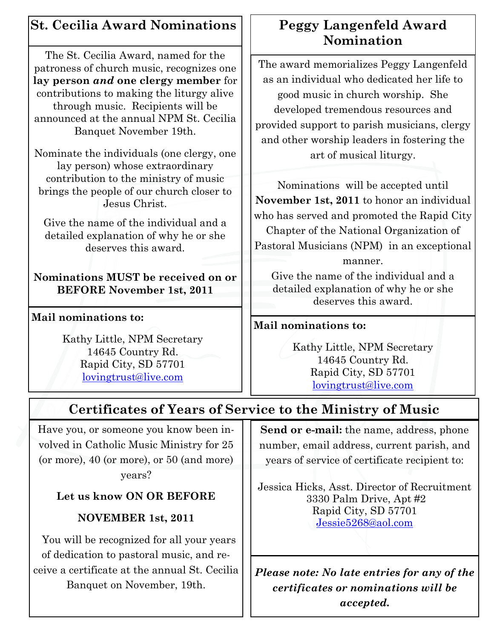### **St. Cecilia Award Nominations**

The St. Cecilia Award, named for the patroness of church music, recognizes one **lay person** *and* **one clergy member** for contributions to making the liturgy alive through music. Recipients will be announced at the annual NPM St. Cecilia Banquet November 19th.

Nominate the individuals (one clergy, one lay person) whose extraordinary contribution to the ministry of music brings the people of our church closer to Jesus Christ.

Give the name of the individual and a detailed explanation of why he or she deserves this award.

**Nominations MUST be received on or BEFORE November 1st, 2011**

#### **Mail nominations to:**

Kathy Little, NPM Secretary 14645 Country Rd. Rapid City, SD 57701 [lovingtrust@live.com](mailto:lovingtrust@live.com)

### **Peggy Langenfeld Award Nomination**

The award memorializes Peggy Langenfeld as an individual who dedicated her life to good music in church worship. She developed tremendous resources and provided support to parish musicians, clergy and other worship leaders in fostering the art of musical liturgy.

Nominations will be accepted until **November 1st, 2011** to honor an individual who has served and promoted the Rapid City Chapter of the National Organization of Pastoral Musicians (NPM) in an exceptional manner.

Give the name of the individual and a detailed explanation of why he or she deserves this award.

#### **Mail nominations to:**

Kathy Little, NPM Secretary 14645 Country Rd. Rapid City, SD 57701 [lovingtrust@live.com](mailto:lovingtrust@live.com)

## **Certificates of Years of Service to the Ministry of Music**

Have you, or someone you know been involved in Catholic Music Ministry for 25 (or more), 40 (or more), or 50 (and more) years?

### **Let us know ON OR BEFORE**

### **NOVEMBER 1st, 2011**

 You will be recognized for all your years of dedication to pastoral music, and receive a certificate at the annual St. Cecilia Banquet on November, 19th.

**Send or e-mail:** the name, address, phone number, email address, current parish, and years of service of certificate recipient to:

Jessica Hicks, Asst. Director of Recruitment 3330 Palm Drive, Apt #2 Rapid City, SD 57701 [Jessie5268@aol.com](mailto:imagebykerry@hotmail.com)

*Please note: No late entries for any of the certificates or nominations will be accepted.*